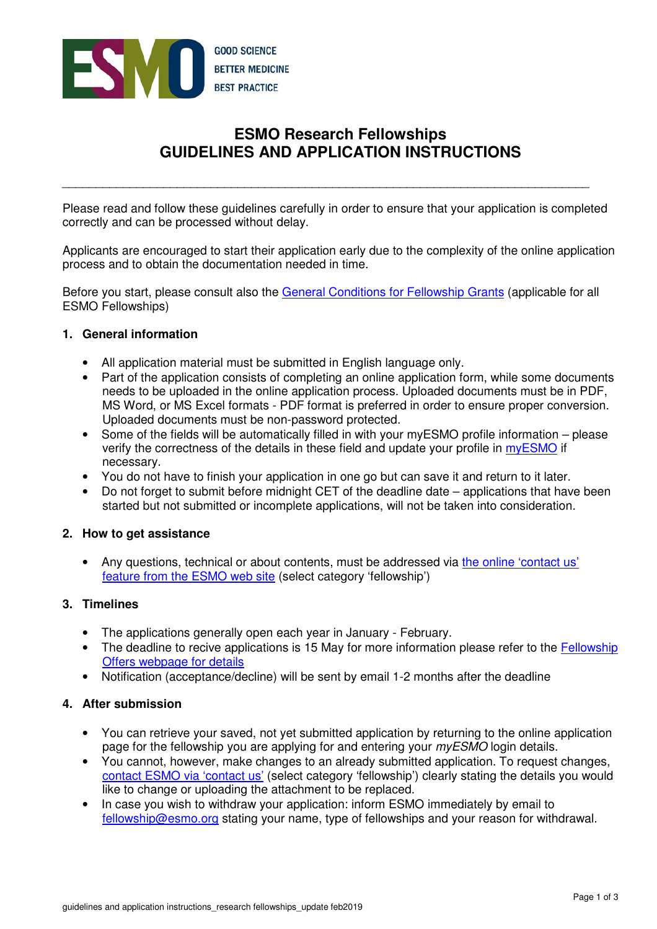

# **ESMO Research Fellowships GUIDELINES AND APPLICATION INSTRUCTIONS**

Please read and follow these guidelines carefully in order to ensure that your application is completed correctly and can be processed without delay.

\_\_\_\_\_\_\_\_\_\_\_\_\_\_\_\_\_\_\_\_\_\_\_\_\_\_\_\_\_\_\_\_\_\_\_\_\_\_\_\_\_\_\_\_\_\_\_\_\_\_\_\_\_\_\_\_\_\_\_\_\_\_\_\_\_\_\_\_\_\_\_\_\_\_\_\_\_\_

Applicants are encouraged to start their application early due to the complexity of the online application process and to obtain the documentation needed in time.

Before you start, please consult also the General Conditions for Fellowship Grants (applicable for all ESMO Fellowships)

# **1. General information**

- All application material must be submitted in English language only.
- Part of the application consists of completing an online application form, while some documents needs to be uploaded in the online application process. Uploaded documents must be in PDF, MS Word, or MS Excel formats - PDF format is preferred in order to ensure proper conversion. Uploaded documents must be non-password protected.
- Some of the fields will be automatically filled in with your myESMO profile information please verify the correctness of the details in these field and update your profile in myESMO if necessary.
- You do not have to finish your application in one go but can save it and return to it later.
- Do not forget to submit before midnight CET of the deadline date applications that have been started but not submitted or incomplete applications, will not be taken into consideration.

# **2. How to get assistance**

• Any questions, technical or about contents, must be addressed via the online 'contact us' feature from the ESMO web site (select category 'fellowship')

# **3. Timelines**

- The applications generally open each year in January February.
- The deadline to recive applications is 15 May for more information please refer to the Fellowship Offers webpage for details
- Notification (acceptance/decline) will be sent by email 1-2 months after the deadline

## **4. After submission**

- You can retrieve your saved, not yet submitted application by returning to the online application page for the fellowship you are applying for and entering your *myESMO* login details.
- You cannot, however, make changes to an already submitted application. To request changes, contact ESMO via 'contact us' (select category 'fellowship') clearly stating the details you would like to change or uploading the attachment to be replaced.
- In case you wish to withdraw your application: inform ESMO immediately by email to fellowship@esmo.org stating your name, type of fellowships and your reason for withdrawal.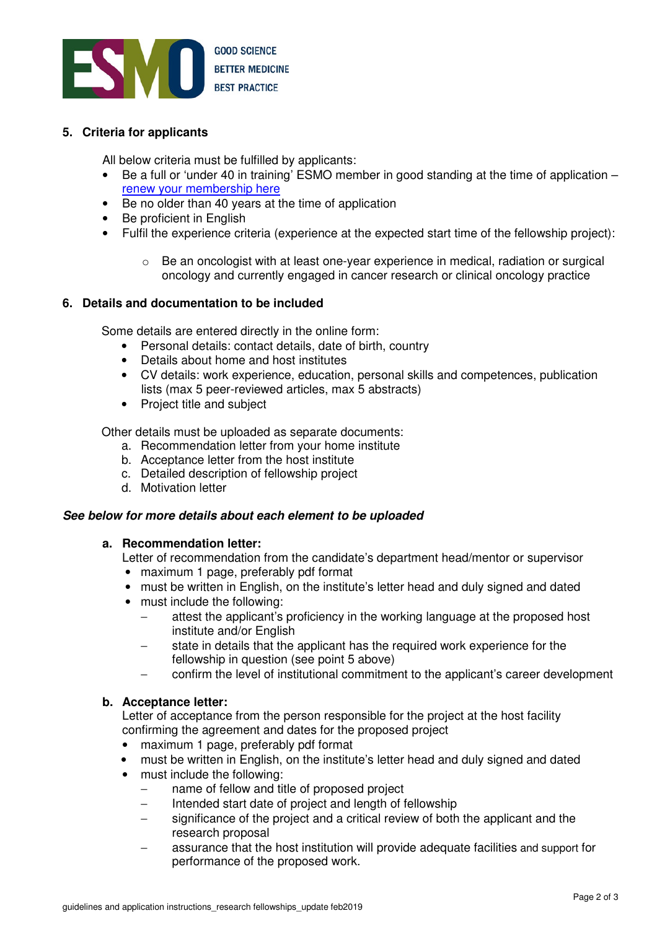

# **5. Criteria for applicants**

All below criteria must be fulfilled by applicants:

- Be a full or 'under 40 in training' ESMO member in good standing at the time of application renew your membership here
- Be no older than 40 years at the time of application
- Be proficient in English
- Fulfil the experience criteria (experience at the expected start time of the fellowship project):
	- $\circ$  Be an oncologist with at least one-year experience in medical, radiation or surgical oncology and currently engaged in cancer research or clinical oncology practice

## **6. Details and documentation to be included**

Some details are entered directly in the online form:

- Personal details: contact details, date of birth, country
- Details about home and host institutes
- CV details: work experience, education, personal skills and competences, publication lists (max 5 peer-reviewed articles, max 5 abstracts)
- Project title and subject

Other details must be uploaded as separate documents:

- a. Recommendation letter from your home institute
- b. Acceptance letter from the host institute
- c. Detailed description of fellowship project
- d. Motivation letter

## **See below for more details about each element to be uploaded**

## **a. Recommendation letter:**

Letter of recommendation from the candidate's department head/mentor or supervisor

- maximum 1 page, preferably pdf format
- must be written in English, on the institute's letter head and duly signed and dated
- must include the following:
	- attest the applicant's proficiency in the working language at the proposed host institute and/or English
	- − state in details that the applicant has the required work experience for the fellowship in question (see point 5 above)
	- − confirm the level of institutional commitment to the applicant's career development

## **b. Acceptance letter:**

 Letter of acceptance from the person responsible for the project at the host facility confirming the agreement and dates for the proposed project

- maximum 1 page, preferably pdf format
- must be written in English, on the institute's letter head and duly signed and dated
- must include the following:
	- − name of fellow and title of proposed project
	- Intended start date of project and length of fellowship
	- − significance of the project and a critical review of both the applicant and the research proposal
	- assurance that the host institution will provide adequate facilities and support for performance of the proposed work.